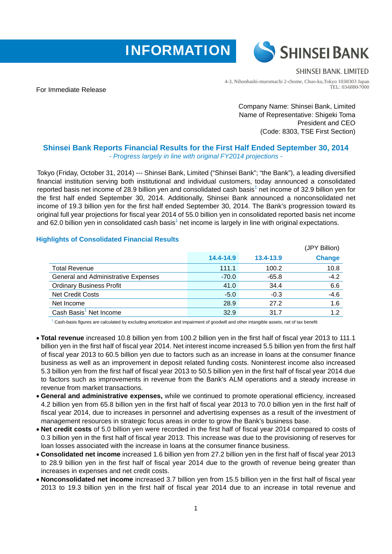



**SHINSEI BANK, LIMITED** 

For Immediate Release

4-3, Nihonbashi-muromachi 2-chome, Chuo-ku,Tokyo 103-8303 Japan TEL: 03-6880-7000

> Company Name: Shinsei Bank, Limited Name of Representative: Shigeki Toma President and CEO (Code: 8303, TSE First Section)

## **Shinsei Bank Reports Financial Results for the First Half Ended September 30, 2014**  *- Progress largely in line with original FY2014 projections -*

Tokyo (Friday, October 31, 2014) --- Shinsei Bank, Limited ("Shinsei Bank"; "the Bank"), a leading diversified financial institution serving both institutional and individual customers, today announced a consolidated reported basis net income of 28.9 billion yen and consolidated cash basis<sup>1</sup> net income of 32.9 billion yen for the first half ended September 30, 2014. Additionally, Shinsei Bank announced a nonconsolidated net income of 19.3 billion yen for the first half ended September 30, 2014. The Bank's progression toward its original full year projections for fiscal year 2014 of 55.0 billion yen in consolidated reported basis net income and 62.0 billion yen in consolidated cash basis<sup>1</sup> net income is largely in line with original expectations.

## **Highlights of Consolidated Financial Results**

|                                            |           |           | (JPY Billion) |
|--------------------------------------------|-----------|-----------|---------------|
|                                            | 14.4-14.9 | 13.4-13.9 | <b>Change</b> |
| <b>Total Revenue</b>                       | 111.1     | 100.2     | 10.8          |
| <b>General and Administrative Expenses</b> | $-70.0$   | $-65.8$   | $-4.2$        |
| <b>Ordinary Business Profit</b>            | 41.0      | 34.4      | 6.6           |
| <b>Net Credit Costs</b>                    | $-5.0$    | $-0.3$    | $-4.6$        |
| Net Income                                 | 28.9      | 27.2      | 1.6           |
| Cash Basis <sup>1</sup> Net Income         | 32.9      | 31.7      | 1.2           |
|                                            |           |           |               |

 $1$  Cash-basis figures are calculated by excluding amortization and impairment of goodwill and other intangible assets, net of tax benefit

- **Total revenue** increased 10.8 billion yen from 100.2 billion yen in the first half of fiscal year 2013 to 111.1 billion yen in the first half of fiscal year 2014. Net interest income increased 5.5 billion yen from the first half of fiscal year 2013 to 60.5 billion yen due to factors such as an increase in loans at the consumer finance business as well as an improvement in deposit related funding costs. Noninterest income also increased 5.3 billion yen from the first half of fiscal year 2013 to 50.5 billion yen in the first half of fiscal year 2014 due to factors such as improvements in revenue from the Bank's ALM operations and a steady increase in revenue from market transactions.
- **General and administrative expenses,** while we continued to promote operational efficiency, increased 4.2 billion yen from 65.8 billion yen in the first half of fiscal year 2013 to 70.0 billion yen in the first half of fiscal year 2014, due to increases in personnel and advertising expenses as a result of the investment of management resources in strategic focus areas in order to grow the Bank's business base.
- **Net credit costs** of 5.0 billion yen were recorded in the first half of fiscal year 2014 compared to costs of 0.3 billion yen in the first half of fiscal year 2013. This increase was due to the provisioning of reserves for loan losses associated with the increase in loans at the consumer finance business.
- **Consolidated net income** increased 1.6 billion yen from 27.2 billion yen in the first half of fiscal year 2013 to 28.9 billion yen in the first half of fiscal year 2014 due to the growth of revenue being greater than increases in expenses and net credit costs.
- **Nonconsolidated net income** increased 3.7 billion yen from 15.5 billion yen in the first half of fiscal year 2013 to 19.3 billion yen in the first half of fiscal year 2014 due to an increase in total revenue and